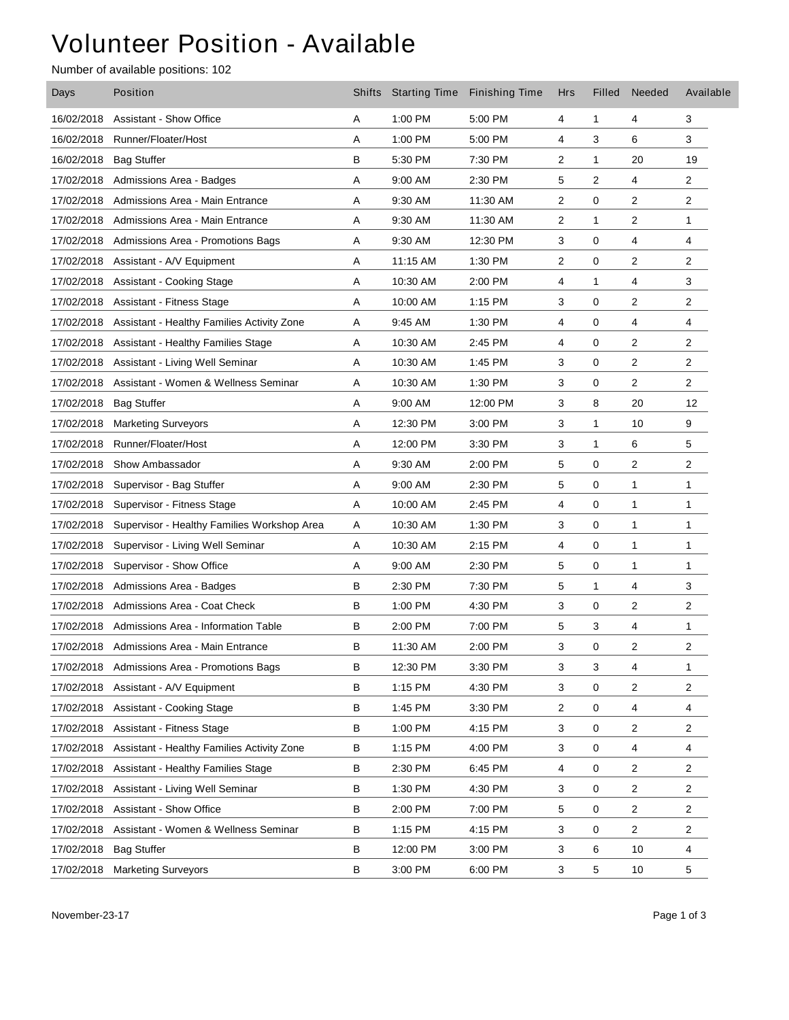## Volunteer Position - Available

Number of available positions: 102

| Days       | Position                                    |   | Shifts Starting Time | <b>Finishing Time</b> | Hrs            | Filled       | Needed | Available      |
|------------|---------------------------------------------|---|----------------------|-----------------------|----------------|--------------|--------|----------------|
| 16/02/2018 | <b>Assistant - Show Office</b>              | Α | 1:00 PM              | 5:00 PM               | 4              | $\mathbf{1}$ | 4      | 3              |
| 16/02/2018 | Runner/Floater/Host                         | Α | 1:00 PM              | 5:00 PM               | 4              | 3            | 6      | 3              |
| 16/02/2018 | <b>Bag Stuffer</b>                          | В | 5:30 PM              | 7:30 PM               | $\overline{2}$ | $\mathbf{1}$ | 20     | 19             |
| 17/02/2018 | Admissions Area - Badges                    | Α | 9:00 AM              | 2:30 PM               | 5              | 2            | 4      | 2              |
| 17/02/2018 | Admissions Area - Main Entrance             | Α | 9:30 AM              | 11:30 AM              | 2              | 0            | 2      | 2              |
| 17/02/2018 | Admissions Area - Main Entrance             | Α | 9:30 AM              | 11:30 AM              | 2              | 1            | 2      | $\mathbf{1}$   |
| 17/02/2018 | Admissions Area - Promotions Bags           | Α | 9:30 AM              | 12:30 PM              | 3              | 0            | 4      | 4              |
| 17/02/2018 | Assistant - A/V Equipment                   | Α | 11:15 AM             | 1:30 PM               | 2              | 0            | 2      | $\overline{2}$ |
| 17/02/2018 | Assistant - Cooking Stage                   | Α | 10:30 AM             | 2:00 PM               | 4              | $\mathbf{1}$ | 4      | 3              |
| 17/02/2018 | <b>Assistant - Fitness Stage</b>            | Α | 10:00 AM             | 1:15 PM               | 3              | 0            | 2      | $\overline{2}$ |
| 17/02/2018 | Assistant - Healthy Families Activity Zone  | Α | 9:45 AM              | 1:30 PM               | 4              | 0            | 4      | 4              |
| 17/02/2018 | <b>Assistant - Healthy Families Stage</b>   | Α | 10:30 AM             | 2:45 PM               | 4              | 0            | 2      | $\overline{2}$ |
| 17/02/2018 | Assistant - Living Well Seminar             | Α | 10:30 AM             | 1:45 PM               | 3              | 0            | 2      | 2              |
| 17/02/2018 | Assistant - Women & Wellness Seminar        | Α | 10:30 AM             | 1:30 PM               | 3              | 0            | 2      | $\overline{c}$ |
| 17/02/2018 | <b>Bag Stuffer</b>                          | Α | 9:00 AM              | 12:00 PM              | 3              | 8            | 20     | 12             |
| 17/02/2018 | <b>Marketing Surveyors</b>                  | Α | 12:30 PM             | 3:00 PM               | 3              | 1            | 10     | 9              |
| 17/02/2018 | Runner/Floater/Host                         | Α | 12:00 PM             | 3:30 PM               | 3              | 1            | 6      | 5              |
| 17/02/2018 | Show Ambassador                             | Α | 9:30 AM              | 2:00 PM               | 5              | 0            | 2      | 2              |
| 17/02/2018 | Supervisor - Bag Stuffer                    | Α | 9:00 AM              | 2:30 PM               | 5              | 0            | 1      | 1              |
| 17/02/2018 | Supervisor - Fitness Stage                  | Α | 10:00 AM             | 2:45 PM               | 4              | 0            | 1      | $\mathbf{1}$   |
| 17/02/2018 | Supervisor - Healthy Families Workshop Area | Α | 10:30 AM             | 1:30 PM               | 3              | 0            | 1      | $\mathbf{1}$   |
| 17/02/2018 | Supervisor - Living Well Seminar            | Α | 10:30 AM             | 2:15 PM               | 4              | 0            | 1      | 1              |
| 17/02/2018 | Supervisor - Show Office                    | Α | 9:00 AM              | 2:30 PM               | 5              | 0            | 1      | $\mathbf{1}$   |
| 17/02/2018 | Admissions Area - Badges                    | в | 2:30 PM              | 7:30 PM               | 5              | 1            | 4      | 3              |
| 17/02/2018 | Admissions Area - Coat Check                | B | 1:00 PM              | 4:30 PM               | 3              | 0            | 2      | 2              |
| 17/02/2018 | Admissions Area - Information Table         | в | 2:00 PM              | 7:00 PM               | 5              | 3            | 4      | 1              |
| 17/02/2018 | Admissions Area - Main Entrance             | B | 11:30 AM             | 2:00 PM               | 3              | 0            | 2      | $\overline{2}$ |
| 17/02/2018 | Admissions Area - Promotions Bags           | В | 12:30 PM             | 3:30 PM               | 3              | 3            | 4      | $\mathbf{1}$   |
| 17/02/2018 | Assistant - A/V Equipment                   | в | 1:15 PM              | 4:30 PM               | 3              | 0            | 2      | $\overline{c}$ |
| 17/02/2018 | Assistant - Cooking Stage                   | В | 1:45 PM              | 3:30 PM               | $\overline{c}$ | 0            | 4      | 4              |
| 17/02/2018 | <b>Assistant - Fitness Stage</b>            | B | 1:00 PM              | 4:15 PM               | 3              | 0            | 2      | $\overline{2}$ |
| 17/02/2018 | Assistant - Healthy Families Activity Zone  | В | 1:15 PM              | 4:00 PM               | 3              | 0            | 4      | 4              |
| 17/02/2018 | <b>Assistant - Healthy Families Stage</b>   | в | 2:30 PM              | 6:45 PM               | 4              | 0            | 2      | $\overline{c}$ |
| 17/02/2018 | Assistant - Living Well Seminar             | в | 1:30 PM              | 4:30 PM               | 3              | 0            | 2      | $\overline{2}$ |
| 17/02/2018 | <b>Assistant - Show Office</b>              | В | 2:00 PM              | 7:00 PM               | 5              | 0            | 2      | $\overline{2}$ |
| 17/02/2018 | Assistant - Women & Wellness Seminar        | В | 1:15 PM              | 4:15 PM               | 3              | 0            | 2      | $\overline{2}$ |
| 17/02/2018 | <b>Bag Stuffer</b>                          | В | 12:00 PM             | 3:00 PM               | 3              | 6            | 10     | 4              |
| 17/02/2018 | <b>Marketing Surveyors</b>                  | В | 3:00 PM              | 6:00 PM               | 3              | 5            | 10     | $\,$ 5 $\,$    |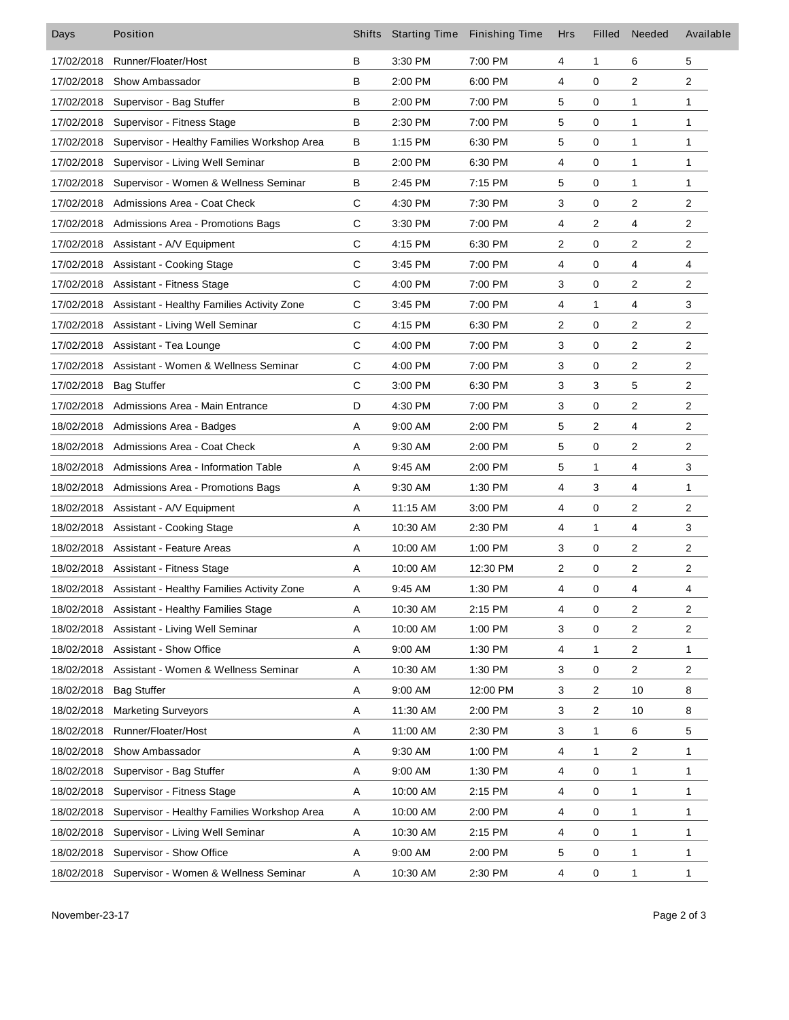| Days       | Position                                              | <b>Shifts</b> | <b>Starting Time</b> | <b>Finishing Time</b> | <b>Hrs</b>                | Filled    | Needed                  | Available      |
|------------|-------------------------------------------------------|---------------|----------------------|-----------------------|---------------------------|-----------|-------------------------|----------------|
| 17/02/2018 | Runner/Floater/Host                                   | В             | 3:30 PM              | 7:00 PM               | 4                         | 1         | 6                       | 5              |
| 17/02/2018 | Show Ambassador                                       | в             | 2:00 PM              | 6:00 PM               | 4                         | 0         | 2                       | $\overline{c}$ |
| 17/02/2018 | Supervisor - Bag Stuffer                              | B             | 2:00 PM              | 7:00 PM               | 5                         | 0         | 1                       | $\mathbf{1}$   |
| 17/02/2018 | Supervisor - Fitness Stage                            | в             | 2:30 PM              | 7:00 PM               | 5                         | 0         | 1                       | $\mathbf{1}$   |
| 17/02/2018 | Supervisor - Healthy Families Workshop Area           | в             | 1:15 PM              | 6:30 PM               | 5                         | 0         | 1                       | $\mathbf{1}$   |
| 17/02/2018 | Supervisor - Living Well Seminar                      | B             | 2:00 PM              | 6:30 PM               | 4                         | 0         | 1                       | 1              |
| 17/02/2018 | Supervisor - Women & Wellness Seminar                 | в             | 2:45 PM              | 7:15 PM               | 5                         | 0         | 1                       | $\mathbf{1}$   |
| 17/02/2018 | Admissions Area - Coat Check                          | C             | 4:30 PM              | 7:30 PM               | 3                         | 0         | $\overline{\mathbf{c}}$ | $\overline{c}$ |
| 17/02/2018 | Admissions Area - Promotions Bags                     | C             | 3:30 PM              | 7:00 PM               | 4                         | 2         | 4                       | $\overline{c}$ |
| 17/02/2018 | Assistant - A/V Equipment                             | C             | 4:15 PM              | 6:30 PM               | $\overline{\mathbf{c}}$   | 0         | 2                       | $\overline{c}$ |
| 17/02/2018 | <b>Assistant - Cooking Stage</b>                      | C             | 3:45 PM              | 7:00 PM               | 4                         | 0         | 4                       | 4              |
|            | 17/02/2018 Assistant - Fitness Stage                  | C             | 4:00 PM              | 7:00 PM               | 3                         | 0         | 2                       | $\overline{c}$ |
| 17/02/2018 | Assistant - Healthy Families Activity Zone            | C             | 3:45 PM              | 7:00 PM               | 4                         | 1         | 4                       | 3              |
| 17/02/2018 | Assistant - Living Well Seminar                       | $\mathsf{C}$  | 4:15 PM              | 6:30 PM               | $\overline{c}$            | 0         | $\overline{\mathbf{c}}$ | $\overline{c}$ |
| 17/02/2018 | Assistant - Tea Lounge                                | C             | 4:00 PM              | 7:00 PM               | 3                         | 0         | $\overline{\mathbf{c}}$ | $\overline{2}$ |
| 17/02/2018 | Assistant - Women & Wellness Seminar                  | C             | 4:00 PM              | 7:00 PM               | 3                         | 0         | 2                       | $\overline{c}$ |
| 17/02/2018 | <b>Bag Stuffer</b>                                    | $\mathsf{C}$  | 3:00 PM              | 6:30 PM               | 3                         | 3         | 5                       | $\overline{c}$ |
| 17/02/2018 | Admissions Area - Main Entrance                       | D             | 4:30 PM              | 7:00 PM               | 3                         | 0         | 2                       | $\overline{c}$ |
| 18/02/2018 | Admissions Area - Badges                              | Α             | 9:00 AM              | 2:00 PM               | 5                         | 2         | 4                       | $\overline{2}$ |
| 18/02/2018 | Admissions Area - Coat Check                          | Α             | 9:30 AM              | 2:00 PM               | 5                         | 0         | 2                       | $\overline{c}$ |
| 18/02/2018 | Admissions Area - Information Table                   | Α             | 9:45 AM              | 2:00 PM               | 5                         | 1         | 4                       | 3              |
| 18/02/2018 | Admissions Area - Promotions Bags                     | Α             | 9:30 AM              | 1:30 PM               | 4                         | 3         | 4                       | $\mathbf{1}$   |
| 18/02/2018 | Assistant - A/V Equipment                             | Α             | 11:15 AM             | 3:00 PM               | 4                         | 0         | $\overline{\mathbf{c}}$ | $\overline{c}$ |
| 18/02/2018 | Assistant - Cooking Stage                             | Α             | 10:30 AM             | 2:30 PM               | 4                         | 1         | 4                       | 3              |
| 18/02/2018 | <b>Assistant - Feature Areas</b>                      | Α             | 10:00 AM             | 1:00 PM               | 3                         | 0         | 2                       | $\overline{c}$ |
|            | 18/02/2018 Assistant - Fitness Stage                  | Α             | 10:00 AM             | 12:30 PM              | $\overline{c}$            | 0         | 2                       | $\overline{c}$ |
|            | 18/02/2018 Assistant - Healthy Families Activity Zone | Α             | 9:45 AM              | 1:30 PM               | 4                         | 0         | 4                       | 4              |
| 18/02/2018 | Assistant - Healthy Families Stage                    | A             | 10:30 AM             | 2:15 PM               | 4                         | $\pmb{0}$ | $\mathbf 2$             | $\overline{c}$ |
| 18/02/2018 | Assistant - Living Well Seminar                       | Α             | 10:00 AM             | 1:00 PM               | 3                         | 0         | $\overline{\mathbf{c}}$ | $\overline{c}$ |
| 18/02/2018 | Assistant - Show Office                               | Α             | 9:00 AM              | 1:30 PM               | 4                         | 1         | 2                       | 1              |
| 18/02/2018 | Assistant - Women & Wellness Seminar                  | Α             | 10:30 AM             | 1:30 PM               | 3                         | 0         | $\overline{\mathbf{c}}$ | $\overline{2}$ |
| 18/02/2018 | <b>Bag Stuffer</b>                                    | Α             | 9:00 AM              | 12:00 PM              | 3                         | 2         | 10                      | 8              |
| 18/02/2018 | <b>Marketing Surveyors</b>                            | Α             | 11:30 AM             | 2:00 PM               | 3                         | 2         | 10                      | 8              |
| 18/02/2018 | Runner/Floater/Host                                   | Α             | 11:00 AM             | 2:30 PM               | $\ensuremath{\mathsf{3}}$ | 1         | 6                       | 5              |
| 18/02/2018 | Show Ambassador                                       | Α             | 9:30 AM              | 1:00 PM               | 4                         | 1         | 2                       | $\mathbf{1}$   |
| 18/02/2018 | Supervisor - Bag Stuffer                              | A             | 9:00 AM              | 1:30 PM               | 4                         | 0         | 1                       | $\mathbf{1}$   |
| 18/02/2018 | Supervisor - Fitness Stage                            | Α             | 10:00 AM             | 2:15 PM               | 4                         | 0         | 1                       | $\mathbf{1}$   |
| 18/02/2018 | Supervisor - Healthy Families Workshop Area           | Α             | 10:00 AM             | 2:00 PM               | 4                         | 0         | 1                       | $\mathbf{1}$   |
| 18/02/2018 | Supervisor - Living Well Seminar                      | A             | 10:30 AM             | 2:15 PM               | 4                         | 0         | 1                       | $\mathbf{1}$   |
| 18/02/2018 | Supervisor - Show Office                              | Α             | 9:00 AM              | 2:00 PM               | 5                         | 0         | 1                       | $\mathbf{1}$   |
| 18/02/2018 | Supervisor - Women & Wellness Seminar                 | Α             | 10:30 AM             | 2:30 PM               | 4                         | 0         | $\mathbf{1}$            | $\mathbf{1}$   |